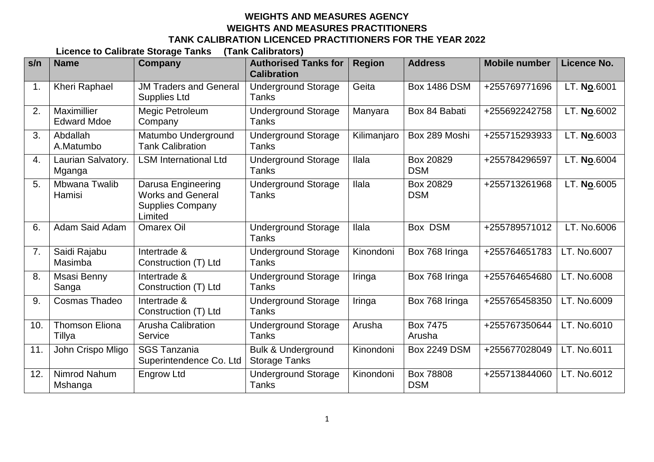## **WEIGHTS AND MEASURES AGENCY WEIGHTS AND MEASURES PRACTITIONERS TANK CALIBRATION LICENCED PRACTITIONERS FOR THE YEAR 2022**

**Licence to Calibrate Storage Tanks (Tank Calibrators)**

| s/n | <b>Name</b>                       | Company                                                                              | <b>Authorised Tanks for</b><br><b>Calibration</b>     | <b>Region</b> | <b>Address</b>          | <b>Mobile number</b> | Licence No. |
|-----|-----------------------------------|--------------------------------------------------------------------------------------|-------------------------------------------------------|---------------|-------------------------|----------------------|-------------|
| 1.  | <b>Kheri Raphael</b>              | <b>JM Traders and General</b><br><b>Supplies Ltd</b>                                 | <b>Underground Storage</b><br>Tanks                   | Geita         | <b>Box 1486 DSM</b>     | +255769771696        | LT. No.6001 |
| 2.  | Maximillier<br><b>Edward Mdoe</b> | Megic Petroleum<br>Company                                                           | <b>Underground Storage</b><br><b>Tanks</b>            | Manyara       | Box 84 Babati           | +255692242758        | LT. No.6002 |
| 3.  | Abdallah<br>A.Matumbo             | Matumbo Underground<br><b>Tank Calibration</b>                                       | <b>Underground Storage</b><br>Tanks                   | Kilimanjaro   | Box 289 Moshi           | +255715293933        | LT. No.6003 |
| 4.  | Laurian Salvatory.<br>Mganga      | <b>LSM International Ltd</b>                                                         | <b>Underground Storage</b><br>Tanks                   | Ilala         | Box 20829<br><b>DSM</b> | +255784296597        | LT. No.6004 |
| 5.  | Mbwana Twalib<br>Hamisi           | Darusa Engineering<br><b>Works and General</b><br><b>Supplies Company</b><br>Limited | <b>Underground Storage</b><br>Tanks                   | Ilala         | Box 20829<br><b>DSM</b> | +255713261968        | LT. No.6005 |
| 6.  | Adam Said Adam                    | <b>Omarex Oil</b>                                                                    | <b>Underground Storage</b><br>Tanks                   | Ilala         | Box DSM                 | +255789571012        | LT. No.6006 |
| 7.  | Saidi Rajabu<br>Masimba           | Intertrade &<br>Construction (T) Ltd                                                 | <b>Underground Storage</b><br>Tanks                   | Kinondoni     | Box 768 Iringa          | +255764651783        | LT. No.6007 |
| 8.  | Msasi Benny<br>Sanga              | Intertrade &<br>Construction (T) Ltd                                                 | <b>Underground Storage</b><br><b>Tanks</b>            | Iringa        | Box 768 Iringa          | +255764654680        | LT. No.6008 |
| 9.  | Cosmas Thadeo                     | Intertrade &<br>Construction (T) Ltd                                                 | <b>Underground Storage</b><br>Tanks                   | Iringa        | Box 768 Iringa          | +255765458350        | LT. No.6009 |
| 10. | <b>Thomson Eliona</b><br>Tillya   | <b>Arusha Calibration</b><br>Service                                                 | <b>Underground Storage</b><br>Tanks                   | Arusha        | Box 7475<br>Arusha      | +255767350644        | LT. No.6010 |
| 11. | John Crispo Mligo                 | <b>SGS Tanzania</b><br>Superintendence Co. Ltd                                       | <b>Bulk &amp; Underground</b><br><b>Storage Tanks</b> | Kinondoni     | <b>Box 2249 DSM</b>     | +255677028049        | LT. No.6011 |
| 12. | Nimrod Nahum<br>Mshanga           | <b>Engrow Ltd</b>                                                                    | <b>Underground Storage</b><br><b>Tanks</b>            | Kinondoni     | Box 78808<br><b>DSM</b> | +255713844060        | LT. No.6012 |